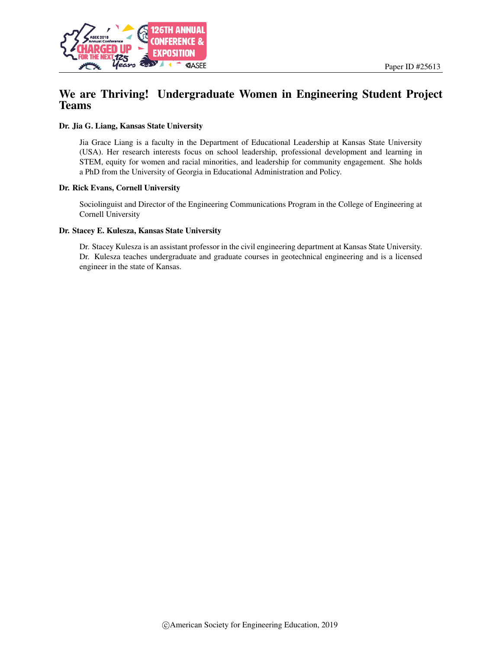

# We are Thriving! Undergraduate Women in Engineering Student Project Teams

#### Dr. Jia G. Liang, Kansas State University

Jia Grace Liang is a faculty in the Department of Educational Leadership at Kansas State University (USA). Her research interests focus on school leadership, professional development and learning in STEM, equity for women and racial minorities, and leadership for community engagement. She holds a PhD from the University of Georgia in Educational Administration and Policy.

#### Dr. Rick Evans, Cornell University

Sociolinguist and Director of the Engineering Communications Program in the College of Engineering at Cornell University

#### Dr. Stacey E. Kulesza, Kansas State University

Dr. Stacey Kulesza is an assistant professor in the civil engineering department at Kansas State University. Dr. Kulesza teaches undergraduate and graduate courses in geotechnical engineering and is a licensed engineer in the state of Kansas.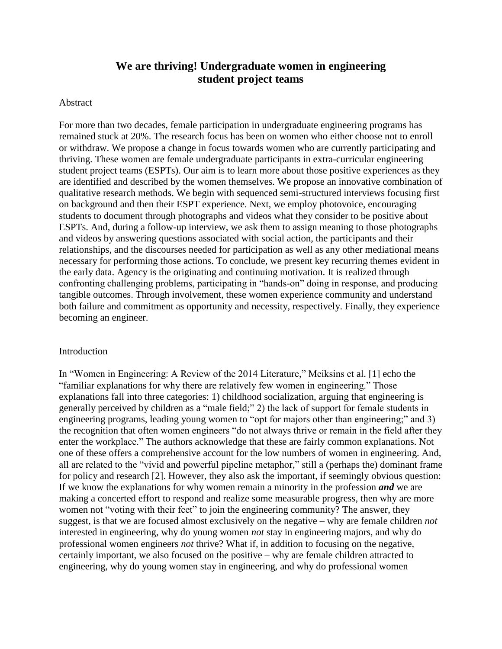# **We are thriving! Undergraduate women in engineering student project teams**

### Abstract

For more than two decades, female participation in undergraduate engineering programs has remained stuck at 20%. The research focus has been on women who either choose not to enroll or withdraw. We propose a change in focus towards women who are currently participating and thriving. These women are female undergraduate participants in extra-curricular engineering student project teams (ESPTs). Our aim is to learn more about those positive experiences as they are identified and described by the women themselves. We propose an innovative combination of qualitative research methods. We begin with sequenced semi-structured interviews focusing first on background and then their ESPT experience. Next, we employ photovoice, encouraging students to document through photographs and videos what they consider to be positive about ESPTs. And, during a follow-up interview, we ask them to assign meaning to those photographs and videos by answering questions associated with social action, the participants and their relationships, and the discourses needed for participation as well as any other mediational means necessary for performing those actions. To conclude, we present key recurring themes evident in the early data. Agency is the originating and continuing motivation. It is realized through confronting challenging problems, participating in "hands-on" doing in response, and producing tangible outcomes. Through involvement, these women experience community and understand both failure and commitment as opportunity and necessity, respectively. Finally, they experience becoming an engineer.

## Introduction

In "Women in Engineering: A Review of the 2014 Literature," Meiksins et al. [1] echo the "familiar explanations for why there are relatively few women in engineering." Those explanations fall into three categories: 1) childhood socialization, arguing that engineering is generally perceived by children as a "male field;" 2) the lack of support for female students in engineering programs, leading young women to "opt for majors other than engineering;" and 3) the recognition that often women engineers "do not always thrive or remain in the field after they enter the workplace." The authors acknowledge that these are fairly common explanations. Not one of these offers a comprehensive account for the low numbers of women in engineering. And, all are related to the "vivid and powerful pipeline metaphor," still a (perhaps the) dominant frame for policy and research [2]. However, they also ask the important, if seemingly obvious question: If we know the explanations for why women remain a minority in the profession *and* we are making a concerted effort to respond and realize some measurable progress, then why are more women not "voting with their feet" to join the engineering community? The answer, they suggest, is that we are focused almost exclusively on the negative – why are female children *not* interested in engineering, why do young women *not* stay in engineering majors, and why do professional women engineers *not* thrive? What if, in addition to focusing on the negative, certainly important, we also focused on the positive – why are female children attracted to engineering, why do young women stay in engineering, and why do professional women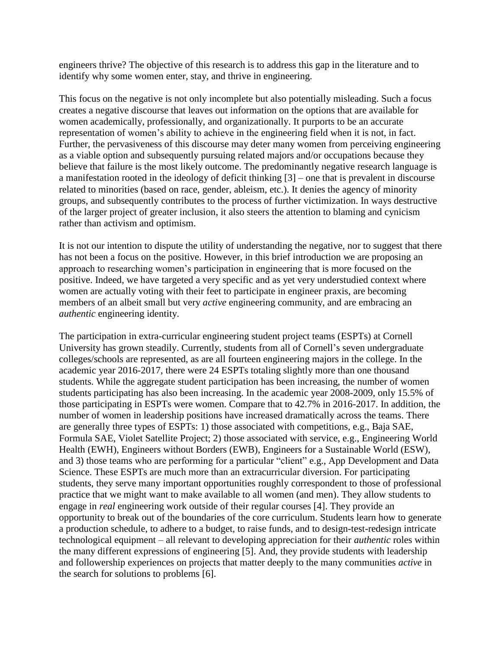engineers thrive? The objective of this research is to address this gap in the literature and to identify why some women enter, stay, and thrive in engineering.

This focus on the negative is not only incomplete but also potentially misleading. Such a focus creates a negative discourse that leaves out information on the options that are available for women academically, professionally, and organizationally. It purports to be an accurate representation of women's ability to achieve in the engineering field when it is not, in fact. Further, the pervasiveness of this discourse may deter many women from perceiving engineering as a viable option and subsequently pursuing related majors and/or occupations because they believe that failure is the most likely outcome. The predominantly negative research language is a manifestation rooted in the ideology of deficit thinking [3] – one that is prevalent in discourse related to minorities (based on race, gender, ableism, etc.). It denies the agency of minority groups, and subsequently contributes to the process of further victimization. In ways destructive of the larger project of greater inclusion, it also steers the attention to blaming and cynicism rather than activism and optimism.

It is not our intention to dispute the utility of understanding the negative, nor to suggest that there has not been a focus on the positive. However, in this brief introduction we are proposing an approach to researching women's participation in engineering that is more focused on the positive. Indeed, we have targeted a very specific and as yet very understudied context where women are actually voting with their feet to participate in engineer praxis, are becoming members of an albeit small but very *active* engineering community, and are embracing an *authentic* engineering identity.

The participation in extra-curricular engineering student project teams (ESPTs) at Cornell University has grown steadily. Currently, students from all of Cornell's seven undergraduate colleges/schools are represented, as are all fourteen engineering majors in the college. In the academic year 2016-2017, there were 24 ESPTs totaling slightly more than one thousand students. While the aggregate student participation has been increasing, the number of women students participating has also been increasing. In the academic year 2008-2009, only 15.5% of those participating in ESPTs were women. Compare that to 42.7% in 2016-2017. In addition, the number of women in leadership positions have increased dramatically across the teams. There are generally three types of ESPTs: 1) those associated with competitions, e.g., Baja SAE, Formula SAE, Violet Satellite Project; 2) those associated with service, e.g., Engineering World Health (EWH), Engineers without Borders (EWB), Engineers for a Sustainable World (ESW), and 3) those teams who are performing for a particular "client" e.g., App Development and Data Science. These ESPTs are much more than an extracurricular diversion. For participating students, they serve many important opportunities roughly correspondent to those of professional practice that we might want to make available to all women (and men). They allow students to engage in *real* engineering work outside of their regular courses [4]. They provide an opportunity to break out of the boundaries of the core curriculum. Students learn how to generate a production schedule, to adhere to a budget, to raise funds, and to design-test-redesign intricate technological equipment – all relevant to developing appreciation for their *authentic* roles within the many different expressions of engineering [5]. And, they provide students with leadership and followership experiences on projects that matter deeply to the many communities *active* in the search for solutions to problems [6].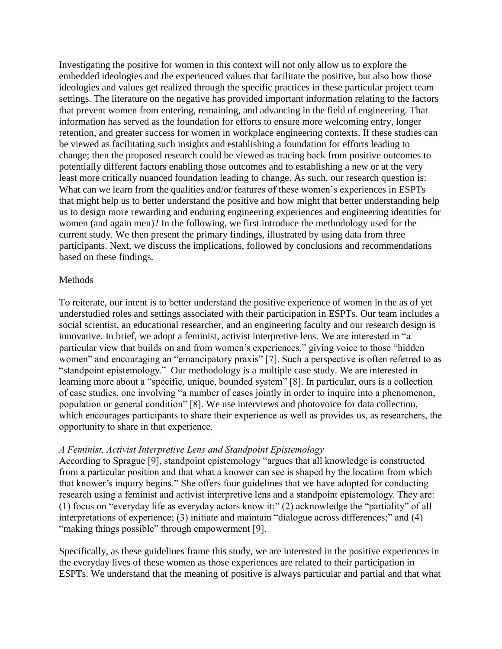Investigating the positive for women in this context will not only allow us to explore the embedded ideologies and the experienced values that facilitate the positive, but also how those ideologies and values get realized through the specific practices in these particular project team settings. The literature on the negative has provided important information relating to the factors that prevent women from entering, remaining, and advancing in the field of engineering. That information has served as the foundation for efforts to ensure more welcoming entry, longer retention, and greater success for women in workplace engineering contexts. If these studies can be viewed as facilitating such insights and establishing a foundation for efforts leading to change; then the proposed research could be viewed as tracing back from positive outcomes to potentially different factors enabling those outcomes and to establishing a new or at the very least more critically nuanced foundation leading to change. As such, our research question is: What can we learn from the qualities and/or features of these women's experiences in ESPTs that might help us to better understand the positive and how might that better understanding help us to design more rewarding and enduring engineering experiences and engineering identities for women (and again men)? In the following, we first introduce the methodology used for the current study. We then present the primary findings, illustrated by using data from three participants. Next, we discuss the implications, followed by conclusions and recommendations based on these findings.

### Methods

To reiterate, our intent is to better understand the positive experience of women in the as of yet understudied roles and settings associated with their participation in ESPTs. Our team includes a social scientist, an educational researcher, and an engineering faculty and our research design is innovative. In brief, we adopt a feminist, activist interpretive lens. We are interested in "a particular view that builds on and from women's experiences," giving voice to those "hidden women" and encouraging an "emancipatory praxis" [7]. Such a perspective is often referred to as "standpoint epistemology." Our methodology is a multiple case study. We are interested in learning more about a "specific, unique, bounded system" [8]. In particular, ours is a collection of case studies, one involving "a number of cases jointly in order to inquire into a phenomenon, population or general condition" [8]. We use interviews and photovoice for data collection, which encourages participants to share their experience as well as provides us, as researchers, the opportunity to share in that experience.

## *A Feminist, Activist Interpretive Lens and Standpoint Epistemology*

According to Sprague [9], standpoint epistemology "argues that all knowledge is constructed from a particular position and that what a knower can see is shaped by the location from which that knower's inquiry begins." She offers four guidelines that we have adopted for conducting research using a feminist and activist interpretive lens and a standpoint epistemology. They are: (1) focus on "everyday life as everyday actors know it;" (2) acknowledge the "partiality" of all interpretations of experience; (3) initiate and maintain "dialogue across differences;" and (4) "making things possible" through empowerment [9].

Specifically, as these guidelines frame this study, we are interested in the positive experiences in the everyday lives of these women as those experiences are related to their participation in ESPTs. We understand that the meaning of positive is always particular and partial and that what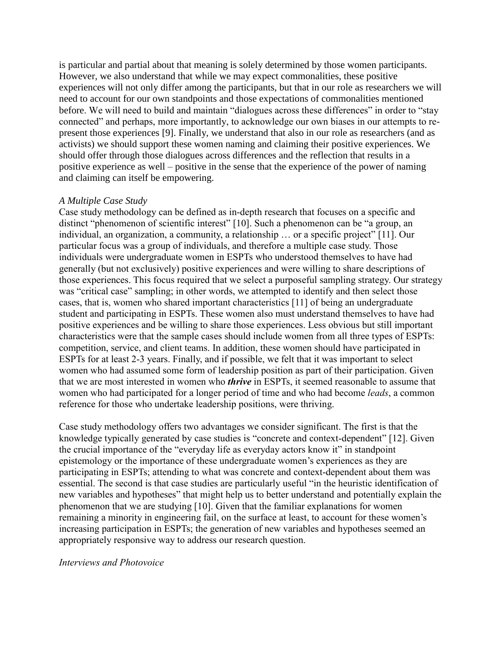is particular and partial about that meaning is solely determined by those women participants. However, we also understand that while we may expect commonalities, these positive experiences will not only differ among the participants, but that in our role as researchers we will need to account for our own standpoints and those expectations of commonalities mentioned before. We will need to build and maintain "dialogues across these differences" in order to "stay connected" and perhaps, more importantly, to acknowledge our own biases in our attempts to represent those experiences [9]. Finally, we understand that also in our role as researchers (and as activists) we should support these women naming and claiming their positive experiences. We should offer through those dialogues across differences and the reflection that results in a positive experience as well – positive in the sense that the experience of the power of naming and claiming can itself be empowering.

## *A Multiple Case Study*

Case study methodology can be defined as in-depth research that focuses on a specific and distinct "phenomenon of scientific interest" [10]. Such a phenomenon can be "a group, an individual, an organization, a community, a relationship … or a specific project" [11]. Our particular focus was a group of individuals, and therefore a multiple case study. Those individuals were undergraduate women in ESPTs who understood themselves to have had generally (but not exclusively) positive experiences and were willing to share descriptions of those experiences. This focus required that we select a purposeful sampling strategy. Our strategy was "critical case" sampling; in other words, we attempted to identify and then select those cases, that is, women who shared important characteristics [11] of being an undergraduate student and participating in ESPTs. These women also must understand themselves to have had positive experiences and be willing to share those experiences. Less obvious but still important characteristics were that the sample cases should include women from all three types of ESPTs: competition, service, and client teams. In addition, these women should have participated in ESPTs for at least 2-3 years. Finally, and if possible, we felt that it was important to select women who had assumed some form of leadership position as part of their participation. Given that we are most interested in women who *thrive* in ESPTs, it seemed reasonable to assume that women who had participated for a longer period of time and who had become *leads*, a common reference for those who undertake leadership positions, were thriving.

Case study methodology offers two advantages we consider significant. The first is that the knowledge typically generated by case studies is "concrete and context-dependent" [12]. Given the crucial importance of the "everyday life as everyday actors know it" in standpoint epistemology or the importance of these undergraduate women's experiences as they are participating in ESPTs; attending to what was concrete and context-dependent about them was essential. The second is that case studies are particularly useful "in the heuristic identification of new variables and hypotheses" that might help us to better understand and potentially explain the phenomenon that we are studying [10]. Given that the familiar explanations for women remaining a minority in engineering fail, on the surface at least, to account for these women's increasing participation in ESPTs; the generation of new variables and hypotheses seemed an appropriately responsive way to address our research question.

## *Interviews and Photovoice*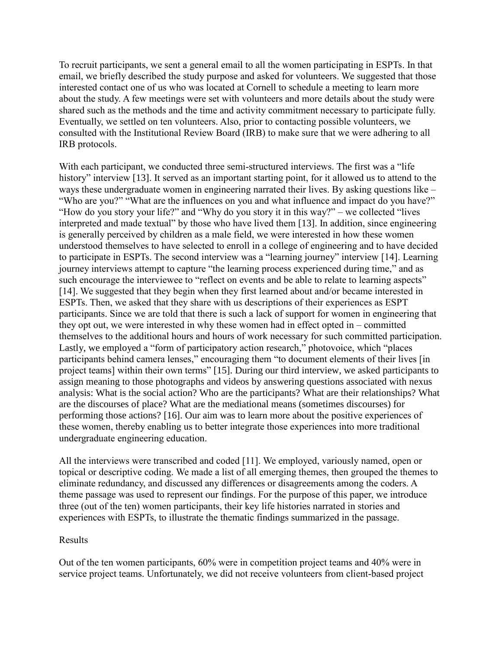To recruit participants, we sent a general email to all the women participating in ESPTs. In that email, we briefly described the study purpose and asked for volunteers. We suggested that those interested contact one of us who was located at Cornell to schedule a meeting to learn more about the study. A few meetings were set with volunteers and more details about the study were shared such as the methods and the time and activity commitment necessary to participate fully. Eventually, we settled on ten volunteers. Also, prior to contacting possible volunteers, we consulted with the Institutional Review Board (IRB) to make sure that we were adhering to all IRB protocols.

With each participant, we conducted three semi-structured interviews. The first was a "life" history" interview [13]. It served as an important starting point, for it allowed us to attend to the ways these undergraduate women in engineering narrated their lives. By asking questions like – "Who are you?" "What are the influences on you and what influence and impact do you have?" "How do you story your life?" and "Why do you story it in this way?" – we collected "lives interpreted and made textual" by those who have lived them [13]. In addition, since engineering is generally perceived by children as a male field, we were interested in how these women understood themselves to have selected to enroll in a college of engineering and to have decided to participate in ESPTs. The second interview was a "learning journey" interview [14]. Learning journey interviews attempt to capture "the learning process experienced during time," and as such encourage the interviewee to "reflect on events and be able to relate to learning aspects" [14]. We suggested that they begin when they first learned about and/or became interested in ESPTs. Then, we asked that they share with us descriptions of their experiences as ESPT participants. Since we are told that there is such a lack of support for women in engineering that they opt out, we were interested in why these women had in effect opted in – committed themselves to the additional hours and hours of work necessary for such committed participation. Lastly, we employed a "form of participatory action research," photovoice, which "places participants behind camera lenses," encouraging them "to document elements of their lives [in project teams] within their own terms" [15]. During our third interview, we asked participants to assign meaning to those photographs and videos by answering questions associated with nexus analysis: What is the social action? Who are the participants? What are their relationships? What are the discourses of place? What are the mediational means (sometimes discourses) for performing those actions? [16]. Our aim was to learn more about the positive experiences of these women, thereby enabling us to better integrate those experiences into more traditional undergraduate engineering education.

All the interviews were transcribed and coded [11]. We employed, variously named, open or topical or descriptive coding. We made a list of all emerging themes, then grouped the themes to eliminate redundancy, and discussed any differences or disagreements among the coders. A theme passage was used to represent our findings. For the purpose of this paper, we introduce three (out of the ten) women participants, their key life histories narrated in stories and experiences with ESPTs, to illustrate the thematic findings summarized in the passage.

## Results

Out of the ten women participants, 60% were in competition project teams and 40% were in service project teams. Unfortunately, we did not receive volunteers from client-based project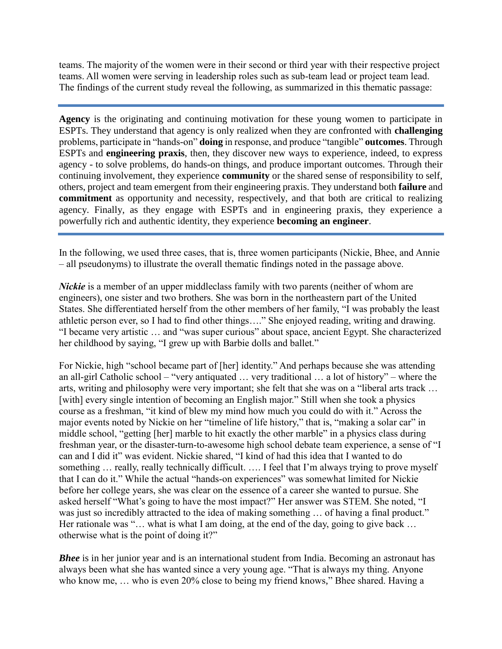teams. The majority of the women were in their second or third year with their respective project teams. All women were serving in leadership roles such as sub-team lead or project team lead. The findings of the current study reveal the following, as summarized in this thematic passage:

**Agency** is the originating and continuing motivation for these young women to participate in ESPTs. They understand that agency is only realized when they are confronted with **challenging** problems, participate in "hands-on" **doing** in response, and produce "tangible" **outcomes**. Through ESPTs and **engineering praxis**, then, they discover new ways to experience, indeed, to express agency - to solve problems, do hands-on things, and produce important outcomes. Through their continuing involvement, they experience **community** or the shared sense of responsibility to self, others, project and team emergent from their engineering praxis. They understand both **failure** and **commitment** as opportunity and necessity, respectively, and that both are critical to realizing agency. Finally, as they engage with ESPTs and in engineering praxis, they experience a powerfully rich and authentic identity, they experience **becoming an engineer**.

In the following, we used three cases, that is, three women participants (Nickie, Bhee, and Annie – all pseudonyms) to illustrate the overall thematic findings noted in the passage above.

*Nickie* is a member of an upper middleclass family with two parents (neither of whom are engineers), one sister and two brothers. She was born in the northeastern part of the United States. She differentiated herself from the other members of her family, "I was probably the least athletic person ever, so I had to find other things…." She enjoyed reading, writing and drawing. "I became very artistic … and "was super curious" about space, ancient Egypt. She characterized her childhood by saying, "I grew up with Barbie dolls and ballet."

For Nickie, high "school became part of [her] identity." And perhaps because she was attending an all-girl Catholic school – "very antiquated … very traditional … a lot of history" – where the arts, writing and philosophy were very important; she felt that she was on a "liberal arts track … [with] every single intention of becoming an English major." Still when she took a physics course as a freshman, "it kind of blew my mind how much you could do with it." Across the major events noted by Nickie on her "timeline of life history," that is, "making a solar car" in middle school, "getting [her] marble to hit exactly the other marble" in a physics class during freshman year, or the disaster-turn-to-awesome high school debate team experience, a sense of "I can and I did it" was evident. Nickie shared, "I kind of had this idea that I wanted to do something ... really, really technically difficult. .... I feel that I'm always trying to prove myself that I can do it." While the actual "hands-on experiences" was somewhat limited for Nickie before her college years, she was clear on the essence of a career she wanted to pursue. She asked herself "What's going to have the most impact?" Her answer was STEM. She noted, "I was just so incredibly attracted to the idea of making something … of having a final product." Her rationale was "... what is what I am doing, at the end of the day, going to give back ... otherwise what is the point of doing it?"

*Bhee* is in her junior year and is an international student from India. Becoming an astronaut has always been what she has wanted since a very young age. "That is always my thing. Anyone who know me, … who is even 20% close to being my friend knows," Bhee shared. Having a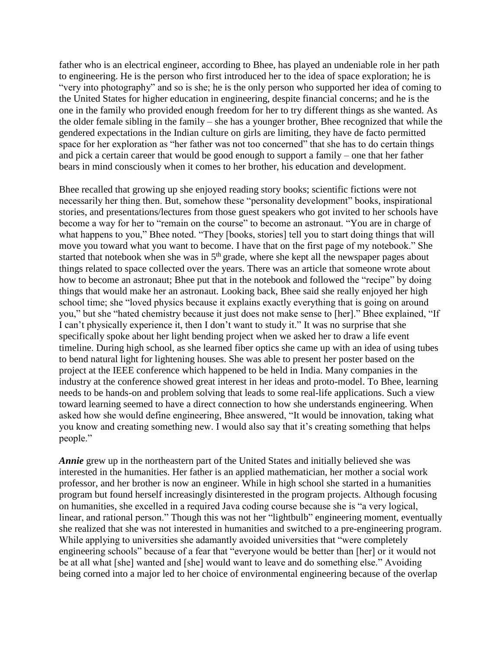father who is an electrical engineer, according to Bhee, has played an undeniable role in her path to engineering. He is the person who first introduced her to the idea of space exploration; he is "very into photography" and so is she; he is the only person who supported her idea of coming to the United States for higher education in engineering, despite financial concerns; and he is the one in the family who provided enough freedom for her to try different things as she wanted. As the older female sibling in the family – she has a younger brother, Bhee recognized that while the gendered expectations in the Indian culture on girls are limiting, they have de facto permitted space for her exploration as "her father was not too concerned" that she has to do certain things and pick a certain career that would be good enough to support a family – one that her father bears in mind consciously when it comes to her brother, his education and development.

Bhee recalled that growing up she enjoyed reading story books; scientific fictions were not necessarily her thing then. But, somehow these "personality development" books, inspirational stories, and presentations/lectures from those guest speakers who got invited to her schools have become a way for her to "remain on the course" to become an astronaut. "You are in charge of what happens to you," Bhee noted. "They [books, stories] tell you to start doing things that will move you toward what you want to become. I have that on the first page of my notebook." She started that notebook when she was in  $5<sup>th</sup>$  grade, where she kept all the newspaper pages about things related to space collected over the years. There was an article that someone wrote about how to become an astronaut; Bhee put that in the notebook and followed the "recipe" by doing things that would make her an astronaut. Looking back, Bhee said she really enjoyed her high school time; she "loved physics because it explains exactly everything that is going on around you," but she "hated chemistry because it just does not make sense to [her]." Bhee explained, "If I can't physically experience it, then I don't want to study it." It was no surprise that she specifically spoke about her light bending project when we asked her to draw a life event timeline. During high school, as she learned fiber optics she came up with an idea of using tubes to bend natural light for lightening houses. She was able to present her poster based on the project at the IEEE conference which happened to be held in India. Many companies in the industry at the conference showed great interest in her ideas and proto-model. To Bhee, learning needs to be hands-on and problem solving that leads to some real-life applications. Such a view toward learning seemed to have a direct connection to how she understands engineering. When asked how she would define engineering, Bhee answered, "It would be innovation, taking what you know and creating something new. I would also say that it's creating something that helps people."

*Annie* grew up in the northeastern part of the United States and initially believed she was interested in the humanities. Her father is an applied mathematician, her mother a social work professor, and her brother is now an engineer. While in high school she started in a humanities program but found herself increasingly disinterested in the program projects. Although focusing on humanities, she excelled in a required Java coding course because she is "a very logical, linear, and rational person." Though this was not her "lightbulb" engineering moment, eventually she realized that she was not interested in humanities and switched to a pre-engineering program. While applying to universities she adamantly avoided universities that "were completely engineering schools" because of a fear that "everyone would be better than [her] or it would not be at all what [she] wanted and [she] would want to leave and do something else." Avoiding being corned into a major led to her choice of environmental engineering because of the overlap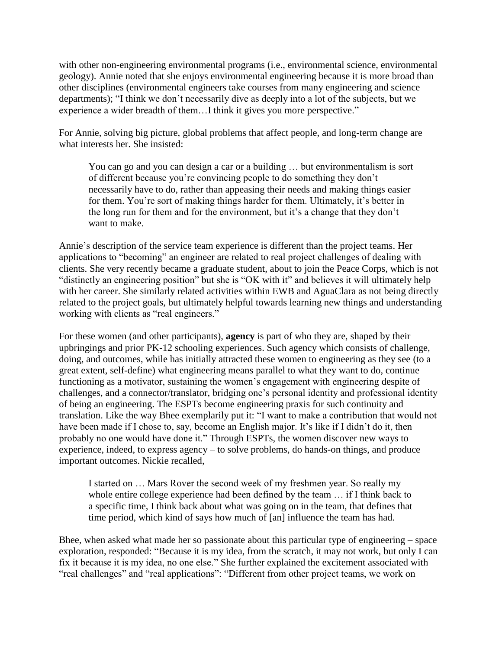with other non-engineering environmental programs (i.e., environmental science, environmental geology). Annie noted that she enjoys environmental engineering because it is more broad than other disciplines (environmental engineers take courses from many engineering and science departments); "I think we don't necessarily dive as deeply into a lot of the subjects, but we experience a wider breadth of them…I think it gives you more perspective."

For Annie, solving big picture, global problems that affect people, and long-term change are what interests her. She insisted:

You can go and you can design a car or a building … but environmentalism is sort of different because you're convincing people to do something they don't necessarily have to do, rather than appeasing their needs and making things easier for them. You're sort of making things harder for them. Ultimately, it's better in the long run for them and for the environment, but it's a change that they don't want to make.

Annie's description of the service team experience is different than the project teams. Her applications to "becoming" an engineer are related to real project challenges of dealing with clients. She very recently became a graduate student, about to join the Peace Corps, which is not "distinctly an engineering position" but she is "OK with it" and believes it will ultimately help with her career. She similarly related activities within EWB and AguaClara as not being directly related to the project goals, but ultimately helpful towards learning new things and understanding working with clients as "real engineers."

For these women (and other participants), **agency** is part of who they are, shaped by their upbringings and prior PK-12 schooling experiences. Such agency which consists of challenge, doing, and outcomes, while has initially attracted these women to engineering as they see (to a great extent, self-define) what engineering means parallel to what they want to do, continue functioning as a motivator, sustaining the women's engagement with engineering despite of challenges, and a connector/translator, bridging one's personal identity and professional identity of being an engineering. The ESPTs become engineering praxis for such continuity and translation. Like the way Bhee exemplarily put it: "I want to make a contribution that would not have been made if I chose to, say, become an English major. It's like if I didn't do it, then probably no one would have done it." Through ESPTs, the women discover new ways to experience, indeed, to express agency – to solve problems, do hands-on things, and produce important outcomes. Nickie recalled,

I started on … Mars Rover the second week of my freshmen year. So really my whole entire college experience had been defined by the team … if I think back to a specific time, I think back about what was going on in the team, that defines that time period, which kind of says how much of [an] influence the team has had.

Bhee, when asked what made her so passionate about this particular type of engineering – space exploration, responded: "Because it is my idea, from the scratch, it may not work, but only I can fix it because it is my idea, no one else." She further explained the excitement associated with "real challenges" and "real applications": "Different from other project teams, we work on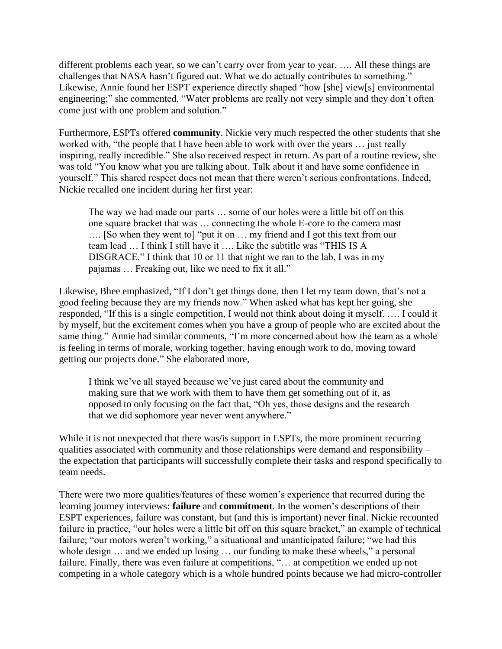different problems each year, so we can't carry over from year to year. .... All these things are challenges that NASA hasn't figured out. What we do actually contributes to something." Likewise, Annie found her ESPT experience directly shaped "how [she] view[s] environmental engineering;" she commented, "Water problems are really not very simple and they don't often come just with one problem and solution."

Furthermore, ESPTs offered **community**. Nickie very much respected the other students that she worked with, "the people that I have been able to work with over the years … just really inspiring, really incredible." She also received respect in return. As part of a routine review, she was told "You know what you are talking about. Talk about it and have some confidence in yourself." This shared respect does not mean that there weren't serious confrontations. Indeed, Nickie recalled one incident during her first year:

The way we had made our parts … some of our holes were a little bit off on this one square bracket that was … connecting the whole E-core to the camera mast …. [So when they went to] "put it on … my friend and I got this text from our team lead … I think I still have it …. Like the subtitle was "THIS IS A DISGRACE." I think that 10 or 11 that night we ran to the lab, I was in my pajamas … Freaking out, like we need to fix it all."

Likewise, Bhee emphasized, "If I don't get things done, then I let my team down, that's not a good feeling because they are my friends now." When asked what has kept her going, she responded, "If this is a single competition, I would not think about doing it myself. …. I could it by myself, but the excitement comes when you have a group of people who are excited about the same thing." Annie had similar comments, "I'm more concerned about how the team as a whole is feeling in terms of morale, working together, having enough work to do, moving toward getting our projects done." She elaborated more,

I think we've all stayed because we've just cared about the community and making sure that we work with them to have them get something out of it, as opposed to only focusing on the fact that, "Oh yes, those designs and the research that we did sophomore year never went anywhere."

While it is not unexpected that there was/is support in ESPTs, the more prominent recurring qualities associated with community and those relationships were demand and responsibility – the expectation that participants will successfully complete their tasks and respond specifically to team needs.

There were two more qualities/features of these women's experience that recurred during the learning journey interviews: **failure** and **commitment**. In the women's descriptions of their ESPT experiences, failure was constant, but (and this is important) never final. Nickie recounted failure in practice, "our holes were a little bit off on this square bracket," an example of technical failure; "our motors weren't working," a situational and unanticipated failure; "we had this whole design  $\ldots$  and we ended up losing  $\ldots$  our funding to make these wheels," a personal failure. Finally, there was even failure at competitions, "... at competition we ended up not competing in a whole category which is a whole hundred points because we had micro-controller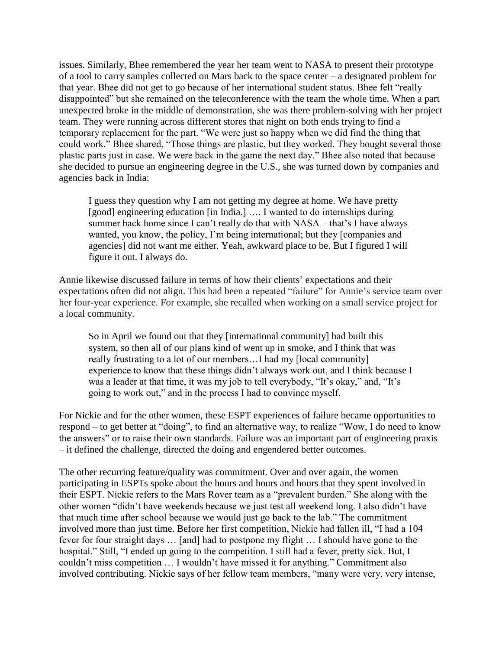issues. Similarly, Bhee remembered the year her team went to NASA to present their prototype of a tool to carry samples collected on Mars back to the space center – a designated problem for that year. Bhee did not get to go because of her international student status. Bhee felt "really disappointed" but she remained on the teleconference with the team the whole time. When a part unexpected broke in the middle of demonstration, she was there problem-solving with her project team. They were running across different stores that night on both ends trying to find a temporary replacement for the part. "We were just so happy when we did find the thing that could work." Bhee shared, "Those things are plastic, but they worked. They bought several those plastic parts just in case. We were back in the game the next day." Bhee also noted that because she decided to pursue an engineering degree in the U.S., she was turned down by companies and agencies back in India:

I guess they question why I am not getting my degree at home. We have pretty [good] engineering education [in India.] .... I wanted to do internships during summer back home since I can't really do that with NASA – that's I have always wanted, you know, the policy, I'm being international; but they [companies and agencies] did not want me either. Yeah, awkward place to be. But I figured I will figure it out. I always do.

Annie likewise discussed failure in terms of how their clients' expectations and their expectations often did not align. This had been a repeated "failure" for Annie's service team over her four-year experience. For example, she recalled when working on a small service project for a local community.

So in April we found out that they [international community] had built this system, so then all of our plans kind of went up in smoke, and I think that was really frustrating to a lot of our members…I had my [local community] experience to know that these things didn't always work out, and I think because I was a leader at that time, it was my job to tell everybody, "It's okay," and, "It's going to work out," and in the process I had to convince myself.

For Nickie and for the other women, these ESPT experiences of failure became opportunities to respond – to get better at "doing", to find an alternative way, to realize "Wow, I do need to know the answers" or to raise their own standards. Failure was an important part of engineering praxis – it defined the challenge, directed the doing and engendered better outcomes.

The other recurring feature/quality was commitment. Over and over again, the women participating in ESPTs spoke about the hours and hours and hours that they spent involved in their ESPT. Nickie refers to the Mars Rover team as a "prevalent burden." She along with the other women "didn't have weekends because we just test all weekend long. I also didn't have that much time after school because we would just go back to the lab." The commitment involved more than just time. Before her first competition, Nickie had fallen ill, "I had a 104 fever for four straight days … [and] had to postpone my flight … I should have gone to the hospital." Still, "I ended up going to the competition. I still had a fever, pretty sick. But, I couldn't miss competition … I wouldn't have missed it for anything." Commitment also involved contributing. Nickie says of her fellow team members, "many were very, very intense,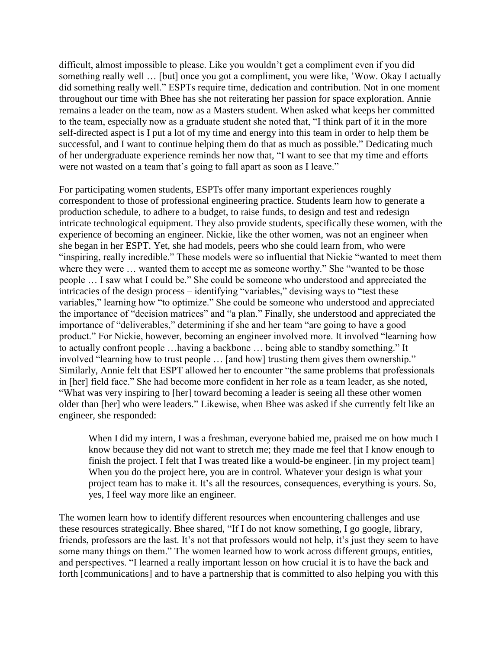difficult, almost impossible to please. Like you wouldn't get a compliment even if you did something really well … [but] once you got a compliment, you were like, 'Wow. Okay I actually did something really well." ESPTs require time, dedication and contribution. Not in one moment throughout our time with Bhee has she not reiterating her passion for space exploration. Annie remains a leader on the team, now as a Masters student. When asked what keeps her committed to the team, especially now as a graduate student she noted that, "I think part of it in the more self-directed aspect is I put a lot of my time and energy into this team in order to help them be successful, and I want to continue helping them do that as much as possible." Dedicating much of her undergraduate experience reminds her now that, "I want to see that my time and efforts were not wasted on a team that's going to fall apart as soon as I leave."

For participating women students, ESPTs offer many important experiences roughly correspondent to those of professional engineering practice. Students learn how to generate a production schedule, to adhere to a budget, to raise funds, to design and test and redesign intricate technological equipment. They also provide students, specifically these women, with the experience of becoming an engineer. Nickie, like the other women, was not an engineer when she began in her ESPT. Yet, she had models, peers who she could learn from, who were "inspiring, really incredible." These models were so influential that Nickie "wanted to meet them where they were ... wanted them to accept me as someone worthy." She "wanted to be those people … I saw what I could be." She could be someone who understood and appreciated the intricacies of the design process – identifying "variables," devising ways to "test these variables," learning how "to optimize." She could be someone who understood and appreciated the importance of "decision matrices" and "a plan." Finally, she understood and appreciated the importance of "deliverables," determining if she and her team "are going to have a good product." For Nickie, however, becoming an engineer involved more. It involved "learning how to actually confront people …having a backbone … being able to standby something." It involved "learning how to trust people … [and how] trusting them gives them ownership." Similarly, Annie felt that ESPT allowed her to encounter "the same problems that professionals in [her] field face." She had become more confident in her role as a team leader, as she noted, "What was very inspiring to [her] toward becoming a leader is seeing all these other women older than [her] who were leaders." Likewise, when Bhee was asked if she currently felt like an engineer, she responded:

When I did my intern, I was a freshman, everyone babied me, praised me on how much I know because they did not want to stretch me; they made me feel that I know enough to finish the project. I felt that I was treated like a would-be engineer. [in my project team] When you do the project here, you are in control. Whatever your design is what your project team has to make it. It's all the resources, consequences, everything is yours. So, yes, I feel way more like an engineer.

The women learn how to identify different resources when encountering challenges and use these resources strategically. Bhee shared, "If I do not know something, I go google, library, friends, professors are the last. It's not that professors would not help, it's just they seem to have some many things on them." The women learned how to work across different groups, entities, and perspectives. "I learned a really important lesson on how crucial it is to have the back and forth [communications] and to have a partnership that is committed to also helping you with this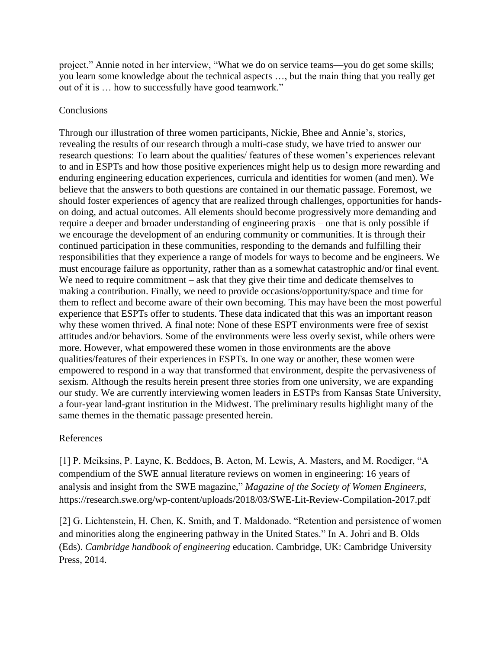project." Annie noted in her interview, "What we do on service teams—you do get some skills; you learn some knowledge about the technical aspects …, but the main thing that you really get out of it is … how to successfully have good teamwork."

## **Conclusions**

Through our illustration of three women participants, Nickie, Bhee and Annie's, stories, revealing the results of our research through a multi-case study, we have tried to answer our research questions: To learn about the qualities/ features of these women's experiences relevant to and in ESPTs and how those positive experiences might help us to design more rewarding and enduring engineering education experiences, curricula and identities for women (and men). We believe that the answers to both questions are contained in our thematic passage. Foremost, we should foster experiences of agency that are realized through challenges, opportunities for handson doing, and actual outcomes. All elements should become progressively more demanding and require a deeper and broader understanding of engineering praxis – one that is only possible if we encourage the development of an enduring community or communities. It is through their continued participation in these communities, responding to the demands and fulfilling their responsibilities that they experience a range of models for ways to become and be engineers. We must encourage failure as opportunity, rather than as a somewhat catastrophic and/or final event. We need to require commitment – ask that they give their time and dedicate themselves to making a contribution. Finally, we need to provide occasions/opportunity/space and time for them to reflect and become aware of their own becoming. This may have been the most powerful experience that ESPTs offer to students. These data indicated that this was an important reason why these women thrived. A final note: None of these ESPT environments were free of sexist attitudes and/or behaviors. Some of the environments were less overly sexist, while others were more. However, what empowered these women in those environments are the above qualities/features of their experiences in ESPTs. In one way or another, these women were empowered to respond in a way that transformed that environment, despite the pervasiveness of sexism. Although the results herein present three stories from one university, we are expanding our study. We are currently interviewing women leaders in ESTPs from Kansas State University, a four-year land-grant institution in the Midwest. The preliminary results highlight many of the same themes in the thematic passage presented herein.

## References

[1] P. Meiksins, P. Layne, K. Beddoes, B. Acton, M. Lewis, A. Masters, and M. Roediger, "A compendium of the SWE annual literature reviews on women in engineering: 16 years of analysis and insight from the SWE magazine," *Magazine of the Society of Women Engineers,*  https://research.swe.org/wp-content/uploads/2018/03/SWE-Lit-Review-Compilation-2017.pdf

[2] G. Lichtenstein, H. Chen, K. Smith, and T. Maldonado. "Retention and persistence of women and minorities along the engineering pathway in the United States." In A. Johri and B. Olds (Eds). *Cambridge handbook of engineering* education. Cambridge, UK: Cambridge University Press, 2014.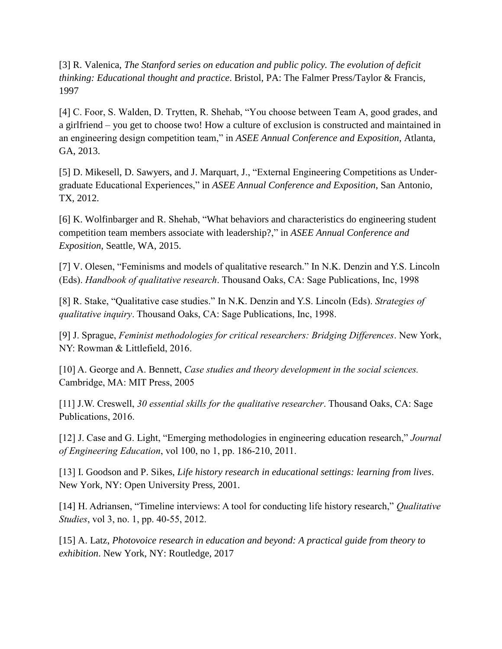[3] R. Valenica, *The Stanford series on education and public policy. The evolution of deficit thinking: Educational thought and practice*. Bristol, PA: The Falmer Press/Taylor & Francis, 1997

[4] C. Foor, S. Walden, D. Trytten, R. Shehab, "You choose between Team A, good grades, and a girlfriend – you get to choose two! How a culture of exclusion is constructed and maintained in an engineering design competition team," in *ASEE Annual Conference and Exposition*, Atlanta, GA, 2013.

[5] D. Mikesell, D. Sawyers, and J. Marquart, J., "External Engineering Competitions as Undergraduate Educational Experiences," in *ASEE Annual Conference and Exposition*, San Antonio, TX, 2012.

[6] K. Wolfinbarger and R. Shehab, "What behaviors and characteristics do engineering student competition team members associate with leadership?," in *ASEE Annual Conference and Exposition*, Seattle, WA, 2015.

[7] V. Olesen, "Feminisms and models of qualitative research." In N.K. Denzin and Y.S. Lincoln (Eds). *Handbook of qualitative research*. Thousand Oaks, CA: Sage Publications, Inc, 1998

[8] R. Stake, "Qualitative case studies." In N.K. Denzin and Y.S. Lincoln (Eds). *Strategies of qualitative inquiry*. Thousand Oaks, CA: Sage Publications, Inc, 1998.

[9] J. Sprague, *Feminist methodologies for critical researchers: Bridging Differences*. New York, NY: Rowman & Littlefield, 2016.

[10] A. George and A. Bennett, *Case studies and theory development in the social sciences*. Cambridge, MA: MIT Press, 2005

[11] J.W. Creswell, *30 essential skills for the qualitative researcher*. Thousand Oaks, CA: Sage Publications, 2016.

[12] J. Case and G. Light, "Emerging methodologies in engineering education research," *Journal of Engineering Education*, vol 100, no 1, pp. 186-210, 2011.

[13] I. Goodson and P. Sikes, *Life history research in educational settings: learning from lives*. New York, NY: Open University Press, 2001.

[14] H. Adriansen, "Timeline interviews: A tool for conducting life history research," *Qualitative Studies*, vol 3, no. 1, pp. 40-55, 2012.

[15] A. Latz, *Photovoice research in education and beyond: A practical guide from theory to exhibition*. New York, NY: Routledge, 2017